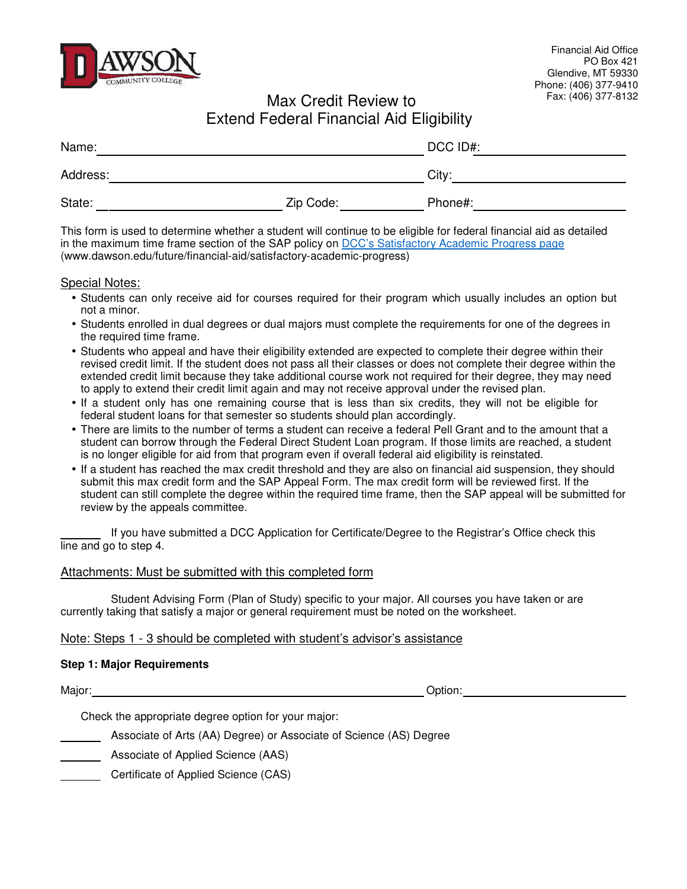

# $Max$  Credit Review to Fax: (406) 377-8132 Extend Federal Financial Aid Eligibility

| Name:    |           | DCC ID#: |  |
|----------|-----------|----------|--|
| Address: |           | City:    |  |
| State:   | Zip Code: | Phone#:  |  |

This form is used to determine whether a student will continue to be eligible for federal financial aid as detailed in the maximum time frame section of the SAP policy on DCC's Satisfactory Academic Progress page (www.dawson.edu/future/financial-aid/satisfactory-academic-progress)

## Special Notes:

- Students can only receive aid for courses required for their program which usually includes an option but not a minor.
- Students enrolled in dual degrees or dual majors must complete the requirements for one of the degrees in the required time frame.
- Students who appeal and have their eligibility extended are expected to complete their degree within their revised credit limit. If the student does not pass all their classes or does not complete their degree within the extended credit limit because they take additional course work not required for their degree, they may need to apply to extend their credit limit again and may not receive approval under the revised plan.
- If a student only has one remaining course that is less than six credits, they will not be eligible for federal student loans for that semester so students should plan accordingly.
- There are limits to the number of terms a student can receive a federal Pell Grant and to the amount that a student can borrow through the Federal Direct Student Loan program. If those limits are reached, a student is no longer eligible for aid from that program even if overall federal aid eligibility is reinstated.
- If a student has reached the max credit threshold and they are also on financial aid suspension, they should submit this max credit form and the SAP Appeal Form. The max credit form will be reviewed first. If the student can still complete the degree within the required time frame, then the SAP appeal will be submitted for review by the appeals committee.

If you have submitted a DCC Application for Certificate/Degree to the Registrar's Office check this line and go to step 4.

# Attachments: Must be submitted with this completed form

Student Advising Form (Plan of Study) specific to your major. All courses you have taken or are currently taking that satisfy a major or general requirement must be noted on the worksheet.

# Note: Steps 1 - 3 should be completed with student's advisor's assistance

#### **Step 1: Major Requirements**

Major: Option:

Check the appropriate degree option for your major:

Associate of Arts (AA) Degree) or Associate of Science (AS) Degree

Associate of Applied Science (AAS)

Certificate of Applied Science (CAS)